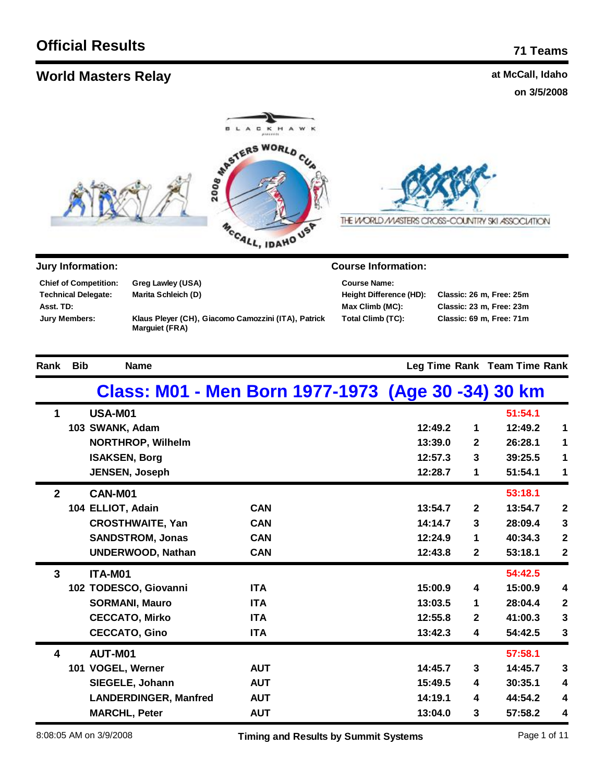| <b>World Masters Relay</b>                                                                                                                                           |                                               |                                                     |                                                                                               |                       | at McCall, Idaho                                                                 |                              |
|----------------------------------------------------------------------------------------------------------------------------------------------------------------------|-----------------------------------------------|-----------------------------------------------------|-----------------------------------------------------------------------------------------------|-----------------------|----------------------------------------------------------------------------------|------------------------------|
|                                                                                                                                                                      |                                               |                                                     |                                                                                               |                       | on 3/5/2008                                                                      |                              |
|                                                                                                                                                                      |                                               | <b>SEPTERS WORLD</b><br>MCCALL, IDAHO USP           | THE WORLD MASTERS CROSS-COUNTRY SKI ASSOCIATION                                               |                       |                                                                                  |                              |
| Jury Information:                                                                                                                                                    |                                               |                                                     | <b>Course Information:</b>                                                                    |                       |                                                                                  |                              |
| <b>Chief of Competition:</b><br>Greg Lawley (USA)<br><b>Technical Delegate:</b><br>Marita Schleich (D)<br>Asst. TD:<br><b>Jury Members:</b><br><b>Marguiet (FRA)</b> |                                               | Klaus Pleyer (CH), Giacomo Camozzini (ITA), Patrick | <b>Course Name:</b><br><b>Height Difference (HD):</b><br>Max Climb (MC):<br>Total Climb (TC): |                       | Classic: 26 m, Free: 25m<br>Classic: 23 m, Free: 23m<br>Classic: 69 m, Free: 71m |                              |
| <b>Bib</b><br>Rank                                                                                                                                                   | <b>Name</b>                                   |                                                     |                                                                                               |                       | Leg Time Rank Team Time Rank                                                     |                              |
|                                                                                                                                                                      |                                               |                                                     | Class: M01 - Men Born 1977-1973 (Age 30 -34) 30 km                                            |                       |                                                                                  |                              |
| $\mathbf 1$<br>USA-M01                                                                                                                                               |                                               |                                                     |                                                                                               |                       | 51:54.1                                                                          |                              |
| 103 SWANK, Adam                                                                                                                                                      |                                               |                                                     | 12:49.2                                                                                       | 1                     | 12:49.2                                                                          | 1                            |
|                                                                                                                                                                      | <b>NORTHROP, Wilhelm</b>                      |                                                     | 13:39.0                                                                                       | 2                     | 26:28.1                                                                          | 1                            |
| <b>ISAKSEN, Borg</b>                                                                                                                                                 | <b>JENSEN, Joseph</b>                         |                                                     | 12:57.3<br>12:28.7                                                                            | 3<br>1                | 39:25.5<br>51:54.1                                                               | 1<br>1                       |
| $\mathbf{2}$<br>CAN-M01                                                                                                                                              |                                               |                                                     |                                                                                               |                       | 53:18.1                                                                          |                              |
| 104 ELLIOT, Adain                                                                                                                                                    |                                               | <b>CAN</b>                                          | 13:54.7                                                                                       | $\mathbf{2}$          | 13:54.7                                                                          | $\mathbf 2$                  |
|                                                                                                                                                                      | <b>CROSTHWAITE, Yan</b>                       | <b>CAN</b>                                          | 14:14.7                                                                                       | 3                     | 28:09.4                                                                          | $\mathbf{3}$                 |
|                                                                                                                                                                      | <b>SANDSTROM, Jonas</b>                       | <b>CAN</b>                                          | 12:24.9                                                                                       | 1                     | 40:34.3                                                                          | $\boldsymbol{2}$             |
|                                                                                                                                                                      | <b>UNDERWOOD, Nathan</b>                      | <b>CAN</b>                                          | 12:43.8                                                                                       | $\mathbf 2$           | 53:18.1                                                                          | $\mathbf{2}$                 |
| $\mathbf{3}$<br>ITA-M01                                                                                                                                              |                                               |                                                     |                                                                                               |                       | 54:42.5                                                                          |                              |
|                                                                                                                                                                      | 102 TODESCO, Giovanni                         | <b>ITA</b>                                          | 15:00.9                                                                                       | 4                     | 15:00.9                                                                          | 4                            |
|                                                                                                                                                                      | <b>SORMANI, Mauro</b>                         | <b>ITA</b>                                          | 13:03.5                                                                                       | 1                     | 28:04.4                                                                          | $\mathbf{2}$                 |
|                                                                                                                                                                      | <b>CECCATO, Mirko</b><br><b>CECCATO, Gino</b> | <b>ITA</b><br><b>ITA</b>                            | 12:55.8<br>13:42.3                                                                            | $\boldsymbol{2}$<br>4 | 41:00.3<br>54:42.5                                                               | $\mathbf{3}$<br>$\mathbf{3}$ |
| 4<br>AUT-M01                                                                                                                                                         |                                               |                                                     |                                                                                               |                       | 57:58.1                                                                          |                              |
| 101 VOGEL, Werner                                                                                                                                                    |                                               | <b>AUT</b>                                          | 14:45.7                                                                                       | $\mathbf{3}$          | 14:45.7                                                                          | 3                            |

8:08:05 AM on 3/9/2008 **Timing and Results by Summit Systems** Page 1 of 11

**MARCHL, Peter AUT 13:04.0 3 57:58.2 4**

**SIEGELE, Johann 15:49.5**

**AUT AUT**

LANDERDINGER, Manfred **AUT 14:19.1** 

**4 4**

**30:35.1**

**4 4**

**44:54.2**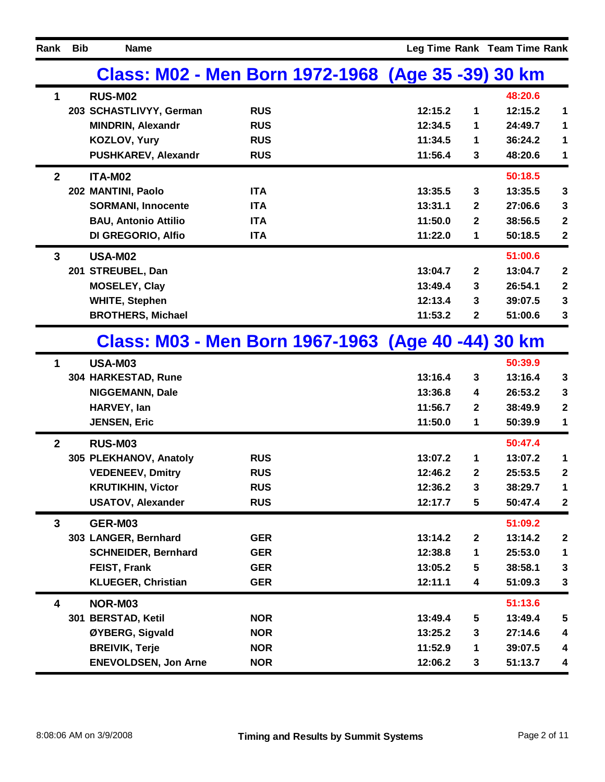| Rank           | <b>Bib</b> | <b>Name</b>                 |                                                    |         |                  | Leg Time Rank Team Time Rank |                  |
|----------------|------------|-----------------------------|----------------------------------------------------|---------|------------------|------------------------------|------------------|
|                |            |                             | Class: M02 - Men Born 1972-1968 (Age 35 -39) 30 km |         |                  |                              |                  |
| 1              |            | <b>RUS-M02</b>              |                                                    |         |                  | 48:20.6                      |                  |
|                |            | 203 SCHASTLIVYY, German     | <b>RUS</b>                                         | 12:15.2 | 1                | 12:15.2                      | 1                |
|                |            | <b>MINDRIN, Alexandr</b>    | <b>RUS</b>                                         | 12:34.5 | 1                | 24:49.7                      | 1                |
|                |            | KOZLOV, Yury                | <b>RUS</b>                                         | 11:34.5 | 1                | 36:24.2                      | 1                |
|                |            | PUSHKAREV, Alexandr         | <b>RUS</b>                                         | 11:56.4 | 3                | 48:20.6                      | 1                |
| $\overline{2}$ |            | ITA-M02                     |                                                    |         |                  | 50:18.5                      |                  |
|                |            | 202 MANTINI, Paolo          | <b>ITA</b>                                         | 13:35.5 | 3                | 13:35.5                      | $\mathbf{3}$     |
|                |            | <b>SORMANI, Innocente</b>   | <b>ITA</b>                                         | 13:31.1 | 2                | 27:06.6                      | 3                |
|                |            | <b>BAU, Antonio Attilio</b> | <b>ITA</b>                                         | 11:50.0 | 2                | 38:56.5                      | $\mathbf 2$      |
|                |            | DI GREGORIO, Alfio          | <b>ITA</b>                                         | 11:22.0 | 1                | 50:18.5                      | $\mathbf 2$      |
| 3              |            | <b>USA-M02</b>              |                                                    |         |                  | 51:00.6                      |                  |
|                |            | 201 STREUBEL, Dan           |                                                    | 13:04.7 | $\mathbf{2}$     | 13:04.7                      | $\boldsymbol{2}$ |
|                |            | <b>MOSELEY, Clay</b>        |                                                    | 13:49.4 | 3                | 26:54.1                      | $\mathbf{2}$     |
|                |            | <b>WHITE, Stephen</b>       |                                                    | 12:13.4 | 3                | 39:07.5                      | 3                |
|                |            | <b>BROTHERS, Michael</b>    |                                                    | 11:53.2 | 2                | 51:00.6                      | 3                |
|                |            |                             | Class: M03 - Men Born 1967-1963 (Age 40 -44) 30 km |         |                  |                              |                  |
| $\mathbf 1$    |            | <b>USA-M03</b>              |                                                    |         |                  | 50:39.9                      |                  |
|                |            | 304 HARKESTAD, Rune         |                                                    | 13:16.4 | 3                | 13:16.4                      | $\mathbf{3}$     |
|                |            | <b>NIGGEMANN, Dale</b>      |                                                    | 13:36.8 | 4                | 26:53.2                      | 3                |
|                |            | HARVEY, Ian                 |                                                    | 11:56.7 | 2                | 38:49.9                      | $\mathbf 2$      |
|                |            | <b>JENSEN, Eric</b>         |                                                    | 11:50.0 | 1                | 50:39.9                      | 1                |
| $\mathbf{2}$   |            | <b>RUS-M03</b>              |                                                    |         |                  | 50:47.4                      |                  |
|                |            | 305 PLEKHANOV, Anatoly      | <b>RUS</b>                                         | 13:07.2 | 1                | 13:07.2                      | 1                |
|                |            | <b>VEDENEEV, Dmitry</b>     | <b>RUS</b>                                         | 12:46.2 | 2                | 25:53.5                      | $\mathbf{2}$     |
|                |            | <b>KRUTIKHIN, Victor</b>    | <b>RUS</b>                                         | 12:36.2 | $\mathbf 3$      | 38:29.7                      | $\mathbf 1$      |
|                |            | <b>USATOV, Alexander</b>    | <b>RUS</b>                                         | 12:17.7 | 5                | 50:47.4                      | $\boldsymbol{2}$ |
| 3              |            | GER-M03                     |                                                    |         |                  | 51:09.2                      |                  |
|                |            | 303 LANGER, Bernhard        | <b>GER</b>                                         | 13:14.2 | $\boldsymbol{2}$ | 13:14.2                      | $\boldsymbol{2}$ |
|                |            | <b>SCHNEIDER, Bernhard</b>  | <b>GER</b>                                         | 12:38.8 | 1                | 25:53.0                      | 1                |
|                |            | FEIST, Frank                | <b>GER</b>                                         | 13:05.2 | 5                | 38:58.1                      | $\mathbf{3}$     |
|                |            | <b>KLUEGER, Christian</b>   | <b>GER</b>                                         | 12:11.1 | 4                | 51:09.3                      | $\mathbf{3}$     |
| 4              |            | NOR-M03                     |                                                    |         |                  | 51:13.6                      |                  |
|                |            | 301 BERSTAD, Ketil          | <b>NOR</b>                                         | 13:49.4 | 5                | 13:49.4                      | 5                |
|                |            | ØYBERG, Sigvald             | <b>NOR</b>                                         | 13:25.2 | 3                | 27:14.6                      | 4                |
|                |            | <b>BREIVIK, Terje</b>       | <b>NOR</b>                                         | 11:52.9 | 1                | 39:07.5                      | 4                |
|                |            | <b>ENEVOLDSEN, Jon Arne</b> | <b>NOR</b>                                         | 12:06.2 | 3                | 51:13.7                      | 4                |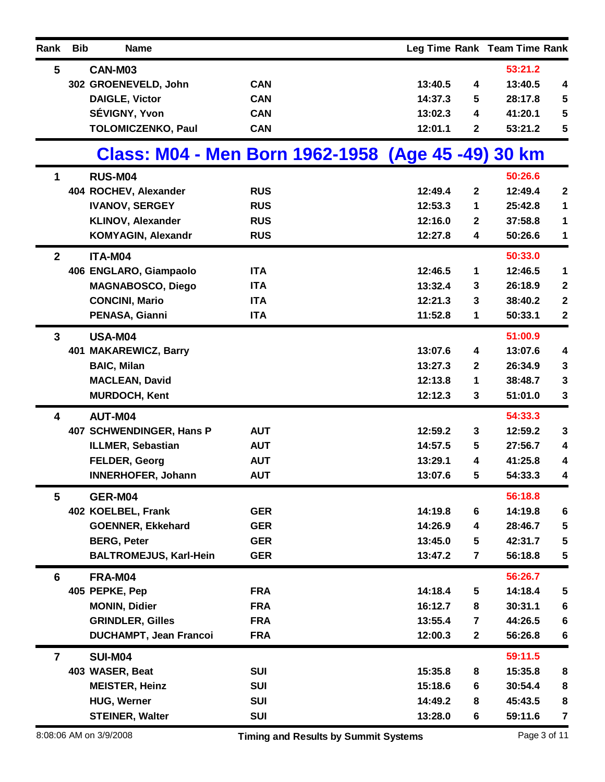| Rank            | <b>Bib</b> | <b>Name</b>                                        |            |                                             |         |                         | Leg Time Rank Team Time Rank |                         |
|-----------------|------------|----------------------------------------------------|------------|---------------------------------------------|---------|-------------------------|------------------------------|-------------------------|
| $5\phantom{.0}$ |            | CAN-M03                                            |            |                                             |         |                         | 53:21.2                      |                         |
|                 |            | 302 GROENEVELD, John                               | <b>CAN</b> |                                             | 13:40.5 | 4                       | 13:40.5                      | 4                       |
|                 |            | <b>DAIGLE, Victor</b>                              | <b>CAN</b> |                                             | 14:37.3 | 5                       | 28:17.8                      | ${\bf 5}$               |
|                 |            | SÉVIGNY, Yvon                                      | <b>CAN</b> |                                             | 13:02.3 | 4                       | 41:20.1                      | $\overline{\mathbf{5}}$ |
|                 |            | <b>TOLOMICZENKO, Paul</b>                          | <b>CAN</b> |                                             | 12:01.1 | $\mathbf 2$             | 53:21.2                      | ${\bf 5}$               |
|                 |            | Class: M04 - Men Born 1962-1958 (Age 45 -49) 30 km |            |                                             |         |                         |                              |                         |
| 1               |            | <b>RUS-M04</b>                                     |            |                                             |         |                         | 50:26.6                      |                         |
|                 |            | 404 ROCHEV, Alexander                              | <b>RUS</b> |                                             | 12:49.4 | $\mathbf{2}$            | 12:49.4                      | $\boldsymbol{2}$        |
|                 |            | <b>IVANOV, SERGEY</b>                              | <b>RUS</b> |                                             | 12:53.3 | 1                       | 25:42.8                      | 1                       |
|                 |            | <b>KLINOV, Alexander</b>                           | <b>RUS</b> |                                             | 12:16.0 | 2                       | 37:58.8                      | 1                       |
|                 |            | <b>KOMYAGIN, Alexandr</b>                          | <b>RUS</b> |                                             | 12:27.8 | 4                       | 50:26.6                      | 1                       |
| $\mathbf{2}$    |            | ITA-M04                                            |            |                                             |         |                         | 50:33.0                      |                         |
|                 |            | 406 ENGLARO, Giampaolo                             | <b>ITA</b> |                                             | 12:46.5 | 1                       | 12:46.5                      | 1                       |
|                 |            | <b>MAGNABOSCO, Diego</b>                           | <b>ITA</b> |                                             | 13:32.4 | 3                       | 26:18.9                      | $\mathbf 2$             |
|                 |            | <b>CONCINI, Mario</b>                              | <b>ITA</b> |                                             | 12:21.3 | 3                       | 38:40.2                      | $\boldsymbol{2}$        |
|                 |            | PENASA, Gianni                                     | <b>ITA</b> |                                             | 11:52.8 | 1                       | 50:33.1                      | $\boldsymbol{2}$        |
| 3               |            | <b>USA-M04</b>                                     |            |                                             |         |                         | 51:00.9                      |                         |
|                 |            | 401 MAKAREWICZ, Barry                              |            |                                             | 13:07.6 | 4                       | 13:07.6                      | 4                       |
|                 |            | <b>BAIC, Milan</b>                                 |            |                                             | 13:27.3 | $\mathbf{2}$            | 26:34.9                      | $\mathbf 3$             |
|                 |            | <b>MACLEAN, David</b>                              |            |                                             | 12:13.8 | 1                       | 38:48.7                      | 3                       |
|                 |            | <b>MURDOCH, Kent</b>                               |            |                                             | 12:12.3 | 3                       | 51:01.0                      | $\mathbf 3$             |
| 4               |            | AUT-M04                                            |            |                                             |         |                         | 54:33.3                      |                         |
|                 |            | 407 SCHWENDINGER, Hans P                           | <b>AUT</b> |                                             | 12:59.2 | 3                       | 12:59.2                      | 3                       |
|                 |            | <b>ILLMER, Sebastian</b>                           | <b>AUT</b> |                                             | 14:57.5 | 5                       | 27:56.7                      | 4                       |
|                 |            | <b>FELDER, Georg</b>                               | <b>AUT</b> |                                             | 13:29.1 | 4                       | 41:25.8                      | 4                       |
|                 |            | <b>INNERHOFER, Johann</b>                          | <b>AUT</b> |                                             | 13:07.6 | 5                       | 54:33.3                      | 4                       |
| 5               |            | GER-M04                                            |            |                                             |         |                         | 56:18.8                      |                         |
|                 |            | 402 KOELBEL, Frank                                 | <b>GER</b> |                                             | 14:19.8 | $6\phantom{1}$          | 14:19.8                      | $\bf 6$                 |
|                 |            | <b>GOENNER, Ekkehard</b>                           | <b>GER</b> |                                             | 14:26.9 | 4                       | 28:46.7                      | 5                       |
|                 |            | <b>BERG, Peter</b>                                 | <b>GER</b> |                                             | 13:45.0 | 5                       | 42:31.7                      | 5                       |
|                 |            | <b>BALTROMEJUS, Karl-Hein</b>                      | <b>GER</b> |                                             | 13:47.2 | $\overline{7}$          | 56:18.8                      | 5                       |
| 6               |            | FRA-M04                                            |            |                                             |         |                         | 56:26.7                      |                         |
|                 |            | 405 PEPKE, Pep                                     | <b>FRA</b> |                                             | 14:18.4 | $\sqrt{5}$              | 14:18.4                      | ${\bf 5}$               |
|                 |            | <b>MONIN, Didier</b>                               | <b>FRA</b> |                                             | 16:12.7 | 8                       | 30:31.1                      | $\bf 6$                 |
|                 |            | <b>GRINDLER, Gilles</b>                            | <b>FRA</b> |                                             | 13:55.4 | $\overline{\mathbf{r}}$ | 44:26.5                      | $\bf 6$                 |
|                 |            | <b>DUCHAMPT, Jean Francoi</b>                      | <b>FRA</b> |                                             | 12:00.3 | $\mathbf{2}$            | 56:26.8                      | $\bf 6$                 |
| $\overline{7}$  |            | <b>SUI-M04</b>                                     |            |                                             |         |                         | 59:11.5                      |                         |
|                 |            | 403 WASER, Beat                                    | <b>SUI</b> |                                             | 15:35.8 | 8                       | 15:35.8                      | 8                       |
|                 |            | <b>MEISTER, Heinz</b>                              | <b>SUI</b> |                                             | 15:18.6 | 6                       | 30:54.4                      | ${\bf 8}$               |
|                 |            | <b>HUG, Werner</b>                                 | <b>SUI</b> |                                             | 14:49.2 | 8                       | 45:43.5                      | ${\bf 8}$               |
|                 |            | <b>STEINER, Walter</b>                             | <b>SUI</b> |                                             | 13:28.0 | 6                       | 59:11.6                      | $\overline{7}$          |
|                 |            | 8:08:06 AM on 3/9/2008                             |            | <b>Timing and Results by Summit Systems</b> |         |                         | Page 3 of 11                 |                         |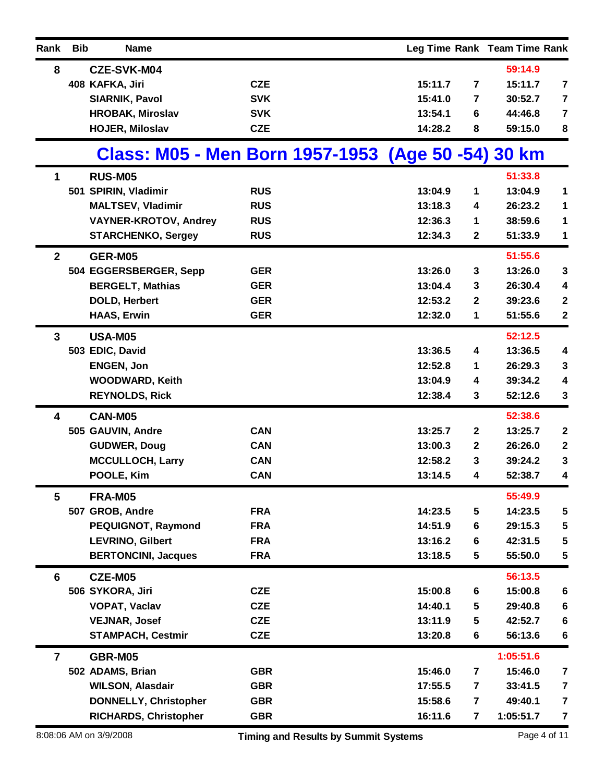| Rank           | <b>Bib</b> | <b>Name</b>                                        |                                             |         |                         | Leg Time Rank Team Time Rank |                         |
|----------------|------------|----------------------------------------------------|---------------------------------------------|---------|-------------------------|------------------------------|-------------------------|
| 8              |            | <b>CZE-SVK-M04</b>                                 |                                             |         |                         | 59:14.9                      |                         |
|                |            | 408 KAFKA, Jiri                                    | <b>CZE</b>                                  | 15:11.7 | 7                       | 15:11.7                      | 7                       |
|                |            | <b>SIARNIK, Pavol</b>                              | <b>SVK</b>                                  | 15:41.0 | 7                       | 30:52.7                      | $\overline{\mathbf{7}}$ |
|                |            | <b>HROBAK, Miroslav</b>                            | <b>SVK</b>                                  | 13:54.1 | 6                       | 44:46.8                      | $\overline{\mathbf{7}}$ |
|                |            | <b>HOJER, Miloslav</b>                             | <b>CZE</b>                                  | 14:28.2 | 8                       | 59:15.0                      | 8                       |
|                |            | Class: M05 - Men Born 1957-1953 (Age 50 -54) 30 km |                                             |         |                         |                              |                         |
| 1              |            | <b>RUS-M05</b>                                     |                                             |         |                         | 51:33.8                      |                         |
|                |            | 501 SPIRIN, Vladimir                               | <b>RUS</b>                                  | 13:04.9 | 1                       | 13:04.9                      | 1                       |
|                |            | <b>MALTSEV, Vladimir</b>                           | <b>RUS</b>                                  | 13:18.3 | 4                       | 26:23.2                      | $\mathbf 1$             |
|                |            | <b>VAYNER-KROTOV, Andrey</b>                       | <b>RUS</b>                                  | 12:36.3 | 1                       | 38:59.6                      | 1                       |
|                |            | <b>STARCHENKO, Sergey</b>                          | <b>RUS</b>                                  | 12:34.3 | 2                       | 51:33.9                      | 1                       |
| $\mathbf{2}$   |            | GER-M05                                            |                                             |         |                         | 51:55.6                      |                         |
|                |            | 504 EGGERSBERGER, Sepp                             | <b>GER</b>                                  | 13:26.0 | 3                       | 13:26.0                      | $\mathbf 3$             |
|                |            | <b>BERGELT, Mathias</b>                            | <b>GER</b>                                  | 13:04.4 | 3                       | 26:30.4                      | 4                       |
|                |            | <b>DOLD, Herbert</b>                               | <b>GER</b>                                  | 12:53.2 | 2                       | 39:23.6                      | $\boldsymbol{2}$        |
|                |            | <b>HAAS, Erwin</b>                                 | <b>GER</b>                                  | 12:32.0 | 1                       | 51:55.6                      | $\mathbf 2$             |
| 3              |            | <b>USA-M05</b>                                     |                                             |         |                         | 52:12.5                      |                         |
|                |            | 503 EDIC, David                                    |                                             | 13:36.5 | 4                       | 13:36.5                      | 4                       |
|                |            | <b>ENGEN, Jon</b>                                  |                                             | 12:52.8 | 1                       | 26:29.3                      | $\mathbf 3$             |
|                |            | <b>WOODWARD, Keith</b>                             |                                             | 13:04.9 | 4                       | 39:34.2                      | 4                       |
|                |            | <b>REYNOLDS, Rick</b>                              |                                             | 12:38.4 | 3                       | 52:12.6                      | $\mathbf 3$             |
| 4              |            | <b>CAN-M05</b>                                     |                                             |         |                         | 52:38.6                      |                         |
|                |            | 505 GAUVIN, Andre                                  | <b>CAN</b>                                  | 13:25.7 | $\mathbf{2}$            | 13:25.7                      | $\boldsymbol{2}$        |
|                |            | <b>GUDWER, Doug</b>                                | <b>CAN</b>                                  | 13:00.3 | $\mathbf{2}$            | 26:26.0                      | $\boldsymbol{2}$        |
|                |            | <b>MCCULLOCH, Larry</b>                            | <b>CAN</b>                                  | 12:58.2 | 3                       | 39:24.2                      | $\mathbf 3$             |
|                |            | POOLE, Kim                                         | <b>CAN</b>                                  | 13:14.5 | 4                       | 52:38.7                      | 4                       |
| 5              |            | <b>FRA-M05</b>                                     |                                             |         |                         | 55:49.9                      |                         |
|                |            | 507 GROB, Andre                                    | <b>FRA</b>                                  | 14:23.5 | 5                       | 14:23.5                      | 5                       |
|                |            | <b>PEQUIGNOT, Raymond</b>                          | <b>FRA</b>                                  | 14:51.9 | 6                       | 29:15.3                      | 5                       |
|                |            | <b>LEVRINO, Gilbert</b>                            | <b>FRA</b>                                  | 13:16.2 | 6                       | 42:31.5                      | 5                       |
|                |            | <b>BERTONCINI, Jacques</b>                         | <b>FRA</b>                                  | 13:18.5 | 5                       | 55:50.0                      | $\sqrt{5}$              |
| 6              |            | CZE-M05                                            |                                             |         |                         | 56:13.5                      |                         |
|                |            | 506 SYKORA, Jiri                                   | <b>CZE</b>                                  | 15:00.8 | 6                       | 15:00.8                      | $\bf 6$                 |
|                |            | <b>VOPAT, Vaclav</b>                               | <b>CZE</b>                                  | 14:40.1 | 5                       | 29:40.8                      | $\bf 6$                 |
|                |            | <b>VEJNAR, Josef</b>                               | <b>CZE</b>                                  | 13:11.9 | 5                       | 42:52.7                      | 6                       |
|                |            | <b>STAMPACH, Cestmir</b>                           | <b>CZE</b>                                  | 13:20.8 | 6                       | 56:13.6                      | $\bf 6$                 |
| $\overline{7}$ |            | GBR-M05                                            |                                             |         |                         | 1:05:51.6                    |                         |
|                |            | 502 ADAMS, Brian                                   | <b>GBR</b>                                  | 15:46.0 | 7                       | 15:46.0                      | $\overline{\mathbf{7}}$ |
|                |            | <b>WILSON, Alasdair</b>                            | <b>GBR</b>                                  | 17:55.5 | 7                       | 33:41.5                      | $\overline{\mathbf{7}}$ |
|                |            | <b>DONNELLY, Christopher</b>                       | <b>GBR</b>                                  | 15:58.6 | $\overline{7}$          | 49:40.1                      | $\overline{\mathbf{7}}$ |
|                |            | <b>RICHARDS, Christopher</b>                       | <b>GBR</b>                                  | 16:11.6 | $\overline{\mathbf{r}}$ | 1:05:51.7                    | $\overline{7}$          |
|                |            | 8:08:06 AM on 3/9/2008                             | <b>Timing and Results by Summit Systems</b> |         |                         |                              | Page 4 of 11            |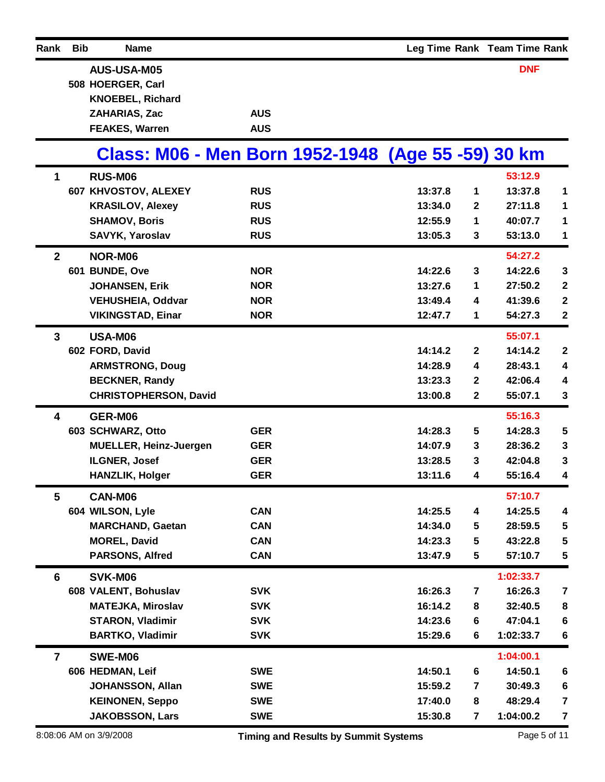| Rank           | <b>Bib</b> | <b>Name</b>                                        |            |                                             |         |                         | Leg Time Rank Team Time Rank |                         |
|----------------|------------|----------------------------------------------------|------------|---------------------------------------------|---------|-------------------------|------------------------------|-------------------------|
|                |            | <b>AUS-USA-M05</b>                                 |            |                                             |         |                         | <b>DNF</b>                   |                         |
|                |            | 508 HOERGER, Carl                                  |            |                                             |         |                         |                              |                         |
|                |            | <b>KNOEBEL, Richard</b>                            |            |                                             |         |                         |                              |                         |
|                |            | ZAHARIAS, Zac                                      | <b>AUS</b> |                                             |         |                         |                              |                         |
|                |            | <b>FEAKES, Warren</b>                              | <b>AUS</b> |                                             |         |                         |                              |                         |
|                |            | Class: M06 - Men Born 1952-1948 (Age 55 -59) 30 km |            |                                             |         |                         |                              |                         |
| 1              |            | <b>RUS-M06</b>                                     |            |                                             |         |                         | 53:12.9                      |                         |
|                |            | 607 KHVOSTOV, ALEXEY                               | <b>RUS</b> |                                             | 13:37.8 | 1                       | 13:37.8                      | 1                       |
|                |            | <b>KRASILOV, Alexey</b>                            | <b>RUS</b> |                                             | 13:34.0 | 2                       | 27:11.8                      | 1                       |
|                |            | <b>SHAMOV, Boris</b>                               | <b>RUS</b> |                                             | 12:55.9 | 1                       | 40:07.7                      | 1                       |
|                |            | SAVYK, Yaroslav                                    | <b>RUS</b> |                                             | 13:05.3 | 3                       | 53:13.0                      | 1                       |
| $\mathbf{2}$   |            | NOR-M06                                            |            |                                             |         |                         | 54:27.2                      |                         |
|                |            | 601 BUNDE, Ove                                     | <b>NOR</b> |                                             | 14:22.6 | 3                       | 14:22.6                      | $\mathbf 3$             |
|                |            | <b>JOHANSEN, Erik</b>                              | <b>NOR</b> |                                             | 13:27.6 | 1                       | 27:50.2                      | $\boldsymbol{2}$        |
|                |            | <b>VEHUSHEIA, Oddvar</b>                           | <b>NOR</b> |                                             | 13:49.4 | 4                       | 41:39.6                      | $\mathbf 2$             |
|                |            | <b>VIKINGSTAD, Einar</b>                           | <b>NOR</b> |                                             | 12:47.7 | 1                       | 54:27.3                      | $\bf 2$                 |
| $\overline{3}$ |            | <b>USA-M06</b>                                     |            |                                             |         |                         | 55:07.1                      |                         |
|                |            | 602 FORD, David                                    |            |                                             | 14:14.2 | $\mathbf{2}$            | 14:14.2                      | $\boldsymbol{2}$        |
|                |            | <b>ARMSTRONG, Doug</b>                             |            |                                             | 14:28.9 | 4                       | 28:43.1                      | 4                       |
|                |            | <b>BECKNER, Randy</b>                              |            |                                             | 13:23.3 | $\mathbf{2}$            | 42:06.4                      | 4                       |
|                |            | <b>CHRISTOPHERSON, David</b>                       |            |                                             | 13:00.8 | $\mathbf 2$             | 55:07.1                      | 3                       |
| 4              |            | GER-M06                                            |            |                                             |         |                         | 55:16.3                      |                         |
|                |            | 603 SCHWARZ, Otto                                  | <b>GER</b> |                                             | 14:28.3 | 5                       | 14:28.3                      | $\sqrt{5}$              |
|                |            | <b>MUELLER, Heinz-Juergen</b>                      | <b>GER</b> |                                             | 14:07.9 | 3                       | 28:36.2                      | 3                       |
|                |            | ILGNER, Josef                                      | <b>GER</b> |                                             | 13:28.5 | 3                       | 42:04.8                      | 3                       |
|                |            | <b>HANZLIK, Holger</b>                             | <b>GER</b> |                                             | 13:11.6 | 4                       | 55:16.4                      | 4                       |
| 5              |            | <b>CAN-M06</b>                                     |            |                                             |         |                         | 57:10.7                      |                         |
|                |            | 604 WILSON, Lyle                                   | <b>CAN</b> |                                             | 14:25.5 | 4                       | 14:25.5                      | 4                       |
|                |            | <b>MARCHAND, Gaetan</b>                            | <b>CAN</b> |                                             | 14:34.0 | 5                       | 28:59.5                      | 5                       |
|                |            | <b>MOREL, David</b>                                | <b>CAN</b> |                                             | 14:23.3 | 5                       | 43:22.8                      | 5                       |
|                |            | <b>PARSONS, Alfred</b>                             | <b>CAN</b> |                                             | 13:47.9 | $5\phantom{.0}$         | 57:10.7                      | $\sqrt{5}$              |
| 6              |            | SVK-M06                                            |            |                                             |         |                         | 1:02:33.7                    |                         |
|                |            | 608 VALENT, Bohuslav                               | <b>SVK</b> |                                             | 16:26.3 | 7                       | 16:26.3                      | $\overline{\mathbf{7}}$ |
|                |            | <b>MATEJKA, Miroslav</b>                           | <b>SVK</b> |                                             | 16:14.2 | 8                       | 32:40.5                      | 8                       |
|                |            | <b>STARON, Vladimir</b>                            | <b>SVK</b> |                                             | 14:23.6 | 6                       | 47:04.1                      | 6                       |
|                |            | <b>BARTKO, Vladimir</b>                            | <b>SVK</b> |                                             | 15:29.6 | 6                       | 1:02:33.7                    | $\bf 6$                 |
| $\overline{7}$ |            | SWE-M06                                            |            |                                             |         |                         | 1:04:00.1                    |                         |
|                |            | 606 HEDMAN, Leif                                   | <b>SWE</b> |                                             | 14:50.1 | 6                       | 14:50.1                      | 6                       |
|                |            | <b>JOHANSSON, Allan</b>                            | <b>SWE</b> |                                             | 15:59.2 | $\overline{\mathbf{r}}$ | 30:49.3                      | $\bf 6$                 |
|                |            | <b>KEINONEN, Seppo</b>                             | <b>SWE</b> |                                             | 17:40.0 | 8                       | 48:29.4                      | $\overline{\mathbf{7}}$ |
|                |            | <b>JAKOBSSON, Lars</b>                             | <b>SWE</b> |                                             | 15:30.8 | $\overline{\mathbf{r}}$ | 1:04:00.2                    | $\overline{\mathbf{7}}$ |
|                |            | 8:08:06 AM on 3/9/2008                             |            | <b>Timing and Results by Summit Systems</b> |         |                         | Page 5 of 11                 |                         |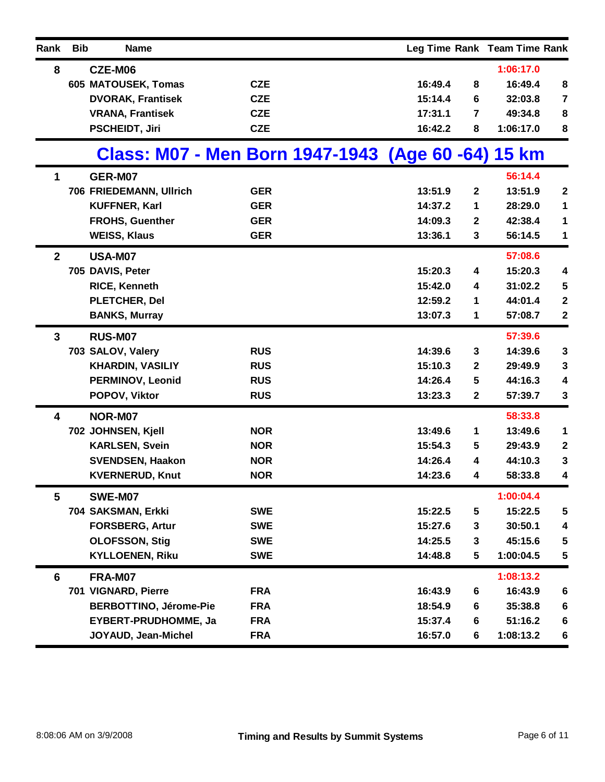| Rank         | <b>Bib</b> | <b>Name</b>                                        |            |         |                  | Leg Time Rank Team Time Rank |                         |
|--------------|------------|----------------------------------------------------|------------|---------|------------------|------------------------------|-------------------------|
| 8            |            | CZE-M06                                            |            |         |                  | 1:06:17.0                    |                         |
|              |            | 605 MATOUSEK, Tomas                                | <b>CZE</b> | 16:49.4 | 8                | 16:49.4                      | 8                       |
|              |            | <b>DVORAK, Frantisek</b>                           | <b>CZE</b> | 15:14.4 | 6                | 32:03.8                      | $\overline{\mathbf{7}}$ |
|              |            | <b>VRANA, Frantisek</b>                            | <b>CZE</b> | 17:31.1 | 7                | 49:34.8                      | 8                       |
|              |            | <b>PSCHEIDT, Jiri</b>                              | <b>CZE</b> | 16:42.2 | 8                | 1:06:17.0                    | 8                       |
|              |            | Class: M07 - Men Born 1947-1943 (Age 60 -64) 15 km |            |         |                  |                              |                         |
| 1            |            | GER-M07                                            |            |         |                  | 56:14.4                      |                         |
|              |            | 706 FRIEDEMANN, Ullrich                            | <b>GER</b> | 13:51.9 | $\mathbf{2}$     | 13:51.9                      | $\boldsymbol{2}$        |
|              |            | <b>KUFFNER, Karl</b>                               | <b>GER</b> | 14:37.2 | 1                | 28:29.0                      | 1                       |
|              |            | <b>FROHS, Guenther</b>                             | <b>GER</b> | 14:09.3 | $\boldsymbol{2}$ | 42:38.4                      | 1                       |
|              |            | <b>WEISS, Klaus</b>                                | <b>GER</b> | 13:36.1 | 3                | 56:14.5                      | 1                       |
| $\mathbf{2}$ |            | <b>USA-M07</b>                                     |            |         |                  | 57:08.6                      |                         |
|              |            | 705 DAVIS, Peter                                   |            | 15:20.3 | 4                | 15:20.3                      | 4                       |
|              |            | <b>RICE, Kenneth</b>                               |            | 15:42.0 | 4                | 31:02.2                      | 5                       |
|              |            | PLETCHER, Del                                      |            | 12:59.2 | 1                | 44:01.4                      | $\boldsymbol{2}$        |
|              |            | <b>BANKS, Murray</b>                               |            | 13:07.3 | 1                | 57:08.7                      | $\mathbf{2}$            |
| $\mathbf{3}$ |            | <b>RUS-M07</b>                                     |            |         |                  | 57:39.6                      |                         |
|              |            | 703 SALOV, Valery                                  | <b>RUS</b> | 14:39.6 | 3                | 14:39.6                      | $\mathbf 3$             |
|              |            | <b>KHARDIN, VASILIY</b>                            | <b>RUS</b> | 15:10.3 | $\mathbf{2}$     | 29:49.9                      | 3                       |
|              |            | <b>PERMINOV, Leonid</b>                            | <b>RUS</b> | 14:26.4 | 5                | 44:16.3                      | 4                       |
|              |            | POPOV, Viktor                                      | <b>RUS</b> | 13:23.3 | $\mathbf{2}$     | 57:39.7                      | 3                       |
| 4            |            | NOR-M07                                            |            |         |                  | 58:33.8                      |                         |
|              |            | 702 JOHNSEN, Kjell                                 | <b>NOR</b> | 13:49.6 | 1                | 13:49.6                      | 1                       |
|              |            | <b>KARLSEN, Svein</b>                              | <b>NOR</b> | 15:54.3 | 5                | 29:43.9                      | $\boldsymbol{2}$        |
|              |            | <b>SVENDSEN, Haakon</b>                            | <b>NOR</b> | 14:26.4 | 4                | 44:10.3                      | 3                       |
|              |            | <b>KVERNERUD, Knut</b>                             | <b>NOR</b> | 14:23.6 | 4                | 58:33.8                      | 4                       |
| 5            |            | SWE-M07                                            |            |         |                  | 1:00:04.4                    |                         |
|              |            | 704 SAKSMAN, Erkki                                 | <b>SWE</b> | 15:22.5 | 5                | 15:22.5                      | 5                       |
|              |            | <b>FORSBERG, Artur</b>                             | <b>SWE</b> | 15:27.6 | 3                | 30:50.1                      | 4                       |
|              |            | <b>OLOFSSON, Stig</b>                              | <b>SWE</b> | 14:25.5 | 3                | 45:15.6                      | 5                       |
|              |            | <b>KYLLOENEN, Riku</b>                             | <b>SWE</b> | 14:48.8 | $5\phantom{.0}$  | 1:00:04.5                    | 5                       |
| 6            |            | <b>FRA-M07</b>                                     |            |         |                  | 1:08:13.2                    |                         |
|              |            | 701 VIGNARD, Pierre                                | <b>FRA</b> | 16:43.9 | 6                | 16:43.9                      | $\bf 6$                 |
|              |            | <b>BERBOTTINO, Jérome-Pie</b>                      | <b>FRA</b> | 18:54.9 | 6                | 35:38.8                      | $\boldsymbol{6}$        |
|              |            | <b>EYBERT-PRUDHOMME, Ja</b>                        | <b>FRA</b> | 15:37.4 | 6                | 51:16.2                      | $6\phantom{1}6$         |
|              |            | JOYAUD, Jean-Michel                                | <b>FRA</b> | 16:57.0 | 6                | 1:08:13.2                    | 6                       |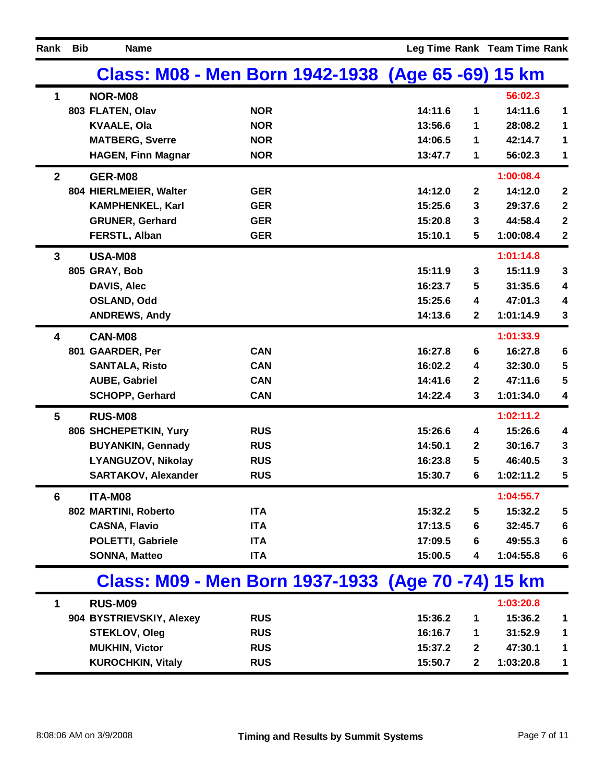| Rank           | <b>Bib</b> | <b>Name</b>                |                                                    |         |              | Leg Time Rank Team Time Rank |                  |
|----------------|------------|----------------------------|----------------------------------------------------|---------|--------------|------------------------------|------------------|
|                |            |                            | Class: M08 - Men Born 1942-1938 (Age 65 -69) 15 km |         |              |                              |                  |
| $\mathbf 1$    |            | NOR-M08                    |                                                    |         |              | 56:02.3                      |                  |
|                |            | 803 FLATEN, Olav           | <b>NOR</b>                                         | 14:11.6 | 1            | 14:11.6                      | 1                |
|                |            | <b>KVAALE, Ola</b>         | <b>NOR</b>                                         | 13:56.6 | 1            | 28:08.2                      | 1                |
|                |            | <b>MATBERG, Sverre</b>     | <b>NOR</b>                                         | 14:06.5 | 1            | 42:14.7                      | 1                |
|                |            | <b>HAGEN, Finn Magnar</b>  | <b>NOR</b>                                         | 13:47.7 | 1            | 56:02.3                      | 1                |
| $\overline{2}$ |            | GER-M08                    |                                                    |         |              | 1:00:08.4                    |                  |
|                |            | 804 HIERLMEIER, Walter     | <b>GER</b>                                         | 14:12.0 | $\mathbf{2}$ | 14:12.0                      | $\boldsymbol{2}$ |
|                |            | <b>KAMPHENKEL, Karl</b>    | <b>GER</b>                                         | 15:25.6 | 3            | 29:37.6                      | $\boldsymbol{2}$ |
|                |            | <b>GRUNER, Gerhard</b>     | <b>GER</b>                                         | 15:20.8 | 3            | 44:58.4                      | $\boldsymbol{2}$ |
|                |            | FERSTL, Alban              | <b>GER</b>                                         | 15:10.1 | 5            | 1:00:08.4                    | $\boldsymbol{2}$ |
| 3              |            | <b>USA-M08</b>             |                                                    |         |              | 1:01:14.8                    |                  |
|                |            | 805 GRAY, Bob              |                                                    | 15:11.9 | 3            | 15:11.9                      | $\mathbf{3}$     |
|                |            | <b>DAVIS, Alec</b>         |                                                    | 16:23.7 | 5            | 31:35.6                      | 4                |
|                |            | <b>OSLAND, Odd</b>         |                                                    | 15:25.6 | 4            | 47:01.3                      | 4                |
|                |            | <b>ANDREWS, Andy</b>       |                                                    | 14:13.6 | $\mathbf{2}$ | 1:01:14.9                    | $\mathbf{3}$     |
| 4              |            | CAN-M08                    |                                                    |         |              | 1:01:33.9                    |                  |
|                |            | 801 GAARDER, Per           | <b>CAN</b>                                         | 16:27.8 | 6            | 16:27.8                      | $\boldsymbol{6}$ |
|                |            | <b>SANTALA, Risto</b>      | <b>CAN</b>                                         | 16:02.2 | 4            | 32:30.0                      | 5                |
|                |            | <b>AUBE, Gabriel</b>       | <b>CAN</b>                                         | 14:41.6 | $\mathbf{2}$ | 47:11.6                      | 5                |
|                |            | <b>SCHOPP, Gerhard</b>     | <b>CAN</b>                                         | 14:22.4 | 3            | 1:01:34.0                    | 4                |
| 5              |            | <b>RUS-M08</b>             |                                                    |         |              | 1:02:11.2                    |                  |
|                |            | 806 SHCHEPETKIN, Yury      | <b>RUS</b>                                         | 15:26.6 | 4            | 15:26.6                      | 4                |
|                |            | <b>BUYANKIN, Gennady</b>   | <b>RUS</b>                                         | 14:50.1 | $\mathbf{2}$ | 30:16.7                      | $\mathbf{3}$     |
|                |            | <b>LYANGUZOV, Nikolay</b>  | <b>RUS</b>                                         | 16:23.8 | 5            | 46:40.5                      | $\mathbf{3}$     |
|                |            | <b>SARTAKOV, Alexander</b> | <b>RUS</b>                                         | 15:30.7 | 6            | 1:02:11.2                    | 5                |
| 6              |            | ITA-M08                    |                                                    |         |              | 1:04:55.7                    |                  |
|                |            | 802 MARTINI, Roberto       | <b>ITA</b>                                         | 15:32.2 | 5            | 15:32.2                      | 5                |
|                |            | <b>CASNA, Flavio</b>       | <b>ITA</b>                                         | 17:13.5 | 6            | 32:45.7                      | $\bf 6$          |
|                |            | <b>POLETTI, Gabriele</b>   | <b>ITA</b>                                         | 17:09.5 | 6            | 49:55.3                      | $6\phantom{1}6$  |
|                |            | <b>SONNA, Matteo</b>       | <b>ITA</b>                                         | 15:00.5 | 4            | 1:04:55.8                    | 6                |
|                |            |                            | Class: M09 - Men Born 1937-1933 (Age 70 -74) 15 km |         |              |                              |                  |
| 1              |            | <b>RUS-M09</b>             |                                                    |         |              | 1:03:20.8                    |                  |
|                |            | 904 BYSTRIEVSKIY, Alexey   | <b>RUS</b>                                         | 15:36.2 | 1            | 15:36.2                      | 1                |
|                |            | <b>STEKLOV, Oleg</b>       | <b>RUS</b>                                         | 16:16.7 | 1            | 31:52.9                      | $\mathbf 1$      |
|                |            | <b>MUKHIN, Victor</b>      | <b>RUS</b>                                         | 15:37.2 | $\mathbf{2}$ | 47:30.1                      | $\mathbf 1$      |
|                |            | <b>KUROCHKIN, Vitaly</b>   | <b>RUS</b>                                         | 15:50.7 | $\mathbf{2}$ | 1:03:20.8                    | 1                |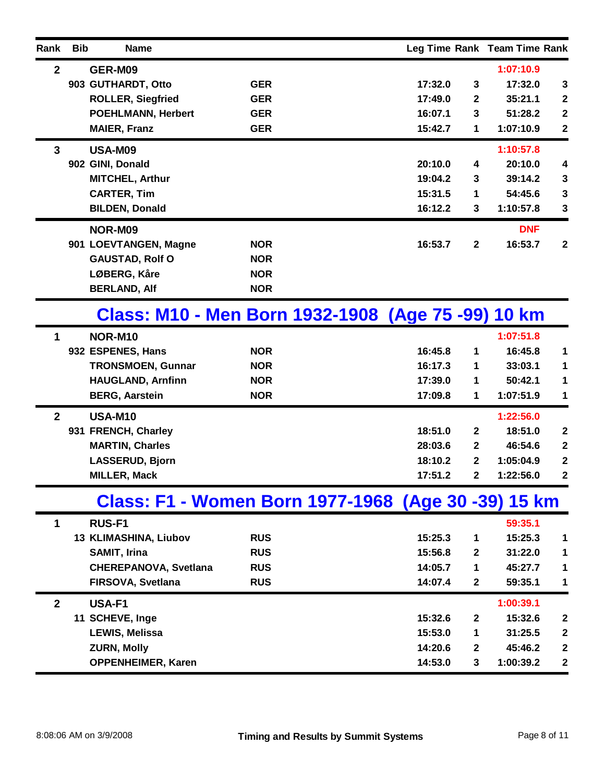| Rank         | <b>Bib</b> | <b>Name</b>                  |            |                                                     |                  | Leg Time Rank Team Time Rank |                         |
|--------------|------------|------------------------------|------------|-----------------------------------------------------|------------------|------------------------------|-------------------------|
| $\mathbf{2}$ |            | GER-M09                      |            |                                                     |                  | 1:07:10.9                    |                         |
|              |            | 903 GUTHARDT, Otto           | <b>GER</b> | 17:32.0                                             | 3                | 17:32.0                      | $\mathbf{3}$            |
|              |            | <b>ROLLER, Siegfried</b>     | <b>GER</b> | 17:49.0                                             | $\mathbf{2}$     | 35:21.1                      | $\boldsymbol{2}$        |
|              |            | <b>POEHLMANN, Herbert</b>    | <b>GER</b> | 16:07.1                                             | 3                | 51:28.2                      | $\mathbf{2}$            |
|              |            | <b>MAIER, Franz</b>          | <b>GER</b> | 15:42.7                                             | 1                | 1:07:10.9                    | $\boldsymbol{2}$        |
| $\mathbf{3}$ |            | <b>USA-M09</b>               |            |                                                     |                  | 1:10:57.8                    |                         |
|              |            | 902 GINI, Donald             |            | 20:10.0                                             | 4                | 20:10.0                      | $\overline{\mathbf{4}}$ |
|              |            | <b>MITCHEL, Arthur</b>       |            | 19:04.2                                             | 3                | 39:14.2                      | $\mathbf{3}$            |
|              |            | <b>CARTER, Tim</b>           |            | 15:31.5                                             | 1                | 54:45.6                      | $\mathbf{3}$            |
|              |            | <b>BILDEN, Donald</b>        |            | 16:12.2                                             | 3                | 1:10:57.8                    | 3                       |
|              |            | NOR-M09                      |            |                                                     |                  | <b>DNF</b>                   |                         |
|              |            | 901 LOEVTANGEN, Magne        | <b>NOR</b> | 16:53.7                                             | $\mathbf{2}$     | 16:53.7                      | $\overline{2}$          |
|              |            | <b>GAUSTAD, Rolf O</b>       | <b>NOR</b> |                                                     |                  |                              |                         |
|              |            | LØBERG, Kåre                 | <b>NOR</b> |                                                     |                  |                              |                         |
|              |            | <b>BERLAND, Alf</b>          | <b>NOR</b> |                                                     |                  |                              |                         |
|              |            |                              |            | Class: M10 - Men Born 1932-1908 (Age 75 -99) 10 km  |                  |                              |                         |
| 1            |            | NOR-M10                      |            |                                                     |                  | 1:07:51.8                    |                         |
|              |            | 932 ESPENES, Hans            | <b>NOR</b> | 16:45.8                                             | 1                | 16:45.8                      | 1                       |
|              |            | <b>TRONSMOEN, Gunnar</b>     | <b>NOR</b> | 16:17.3                                             | 1                | 33:03.1                      | 1                       |
|              |            | <b>HAUGLAND, Arnfinn</b>     | <b>NOR</b> | 17:39.0                                             | 1                | 50:42.1                      | 1                       |
|              |            | <b>BERG, Aarstein</b>        | <b>NOR</b> | 17:09.8                                             | 1                | 1:07:51.9                    | 1                       |
| $\mathbf{2}$ |            | <b>USA-M10</b>               |            |                                                     |                  | 1:22:56.0                    |                         |
|              |            | 931 FRENCH, Charley          |            | 18:51.0                                             | $\mathbf{2}$     | 18:51.0                      | $\mathbf{2}$            |
|              |            | <b>MARTIN, Charles</b>       |            | 28:03.6                                             | $\mathbf{2}$     | 46:54.6                      | $\boldsymbol{2}$        |
|              |            | <b>LASSERUD, Bjorn</b>       |            | 18:10.2                                             | $\mathbf{2}$     | 1:05:04.9                    | $\mathbf{2}$            |
|              |            | <b>MILLER, Mack</b>          |            | 17:51.2                                             | $\mathbf 2$      | 1:22:56.0                    | $\mathbf 2$             |
|              |            |                              |            | Class: F1 - Women Born 1977-1968 (Age 30 -39) 15 km |                  |                              |                         |
| 1            |            | <b>RUS-F1</b>                |            |                                                     |                  | 59:35.1                      |                         |
|              |            | 13 KLIMASHINA, Liubov        | <b>RUS</b> | 15:25.3                                             | 1                | 15:25.3                      | 1                       |
|              |            | <b>SAMIT, Irina</b>          | <b>RUS</b> | 15:56.8                                             | $\mathbf{2}$     | 31:22.0                      | 1                       |
|              |            | <b>CHEREPANOVA, Svetlana</b> | <b>RUS</b> | 14:05.7                                             | 1                | 45:27.7                      | 1                       |
|              |            | FIRSOVA, Svetlana            | <b>RUS</b> | 14:07.4                                             | $\boldsymbol{2}$ | 59:35.1                      | 1                       |
| $\mathbf{2}$ |            | USA-F1                       |            |                                                     |                  | 1:00:39.1                    |                         |
|              |            | 11 SCHEVE, Inge              |            | 15:32.6                                             | $\boldsymbol{2}$ | 15:32.6                      | $\boldsymbol{2}$        |
|              |            | <b>LEWIS, Melissa</b>        |            | 15:53.0                                             | 1                | 31:25.5                      | $\mathbf 2$             |
|              |            | <b>ZURN, Molly</b>           |            | 14:20.6                                             | $\mathbf{2}$     | 45:46.2                      | $\mathbf 2$             |
|              |            | <b>OPPENHEIMER, Karen</b>    |            | 14:53.0                                             | 3                | 1:00:39.2                    | $\boldsymbol{2}$        |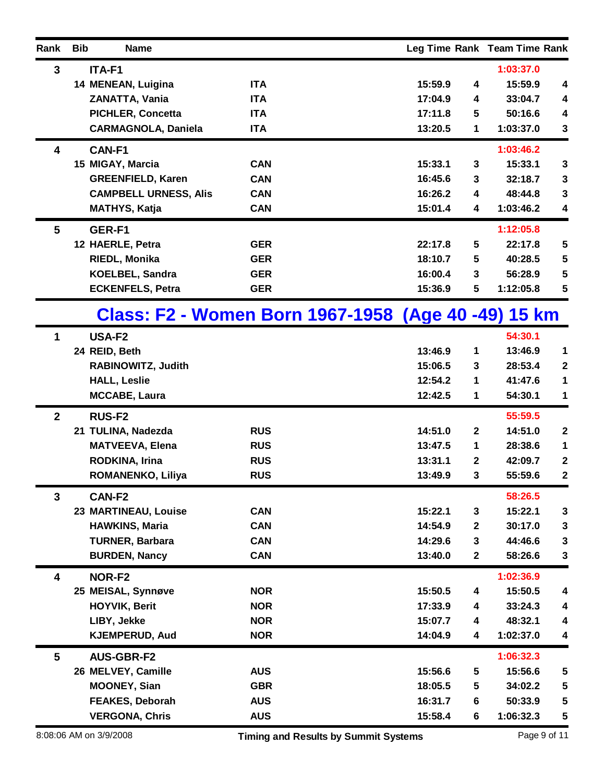| Rank            | <b>Bib</b> | <b>Name</b>                  |                                                     |         |              | Leg Time Rank Team Time Rank |                  |
|-----------------|------------|------------------------------|-----------------------------------------------------|---------|--------------|------------------------------|------------------|
| $\mathbf{3}$    |            | ITA-F1                       |                                                     |         |              | 1:03:37.0                    |                  |
|                 |            | 14 MENEAN, Luigina           | <b>ITA</b>                                          | 15:59.9 | 4            | 15:59.9                      | 4                |
|                 |            | ZANATTA, Vania               | <b>ITA</b>                                          | 17:04.9 | 4            | 33:04.7                      | 4                |
|                 |            | <b>PICHLER, Concetta</b>     | <b>ITA</b>                                          | 17:11.8 | 5            | 50:16.6                      | 4                |
|                 |            | <b>CARMAGNOLA, Daniela</b>   | <b>ITA</b>                                          | 13:20.5 | 1            | 1:03:37.0                    | $\mathbf{3}$     |
| 4               |            | CAN-F1                       |                                                     |         |              | 1:03:46.2                    |                  |
|                 |            | 15 MIGAY, Marcia             | <b>CAN</b>                                          | 15:33.1 | 3            | 15:33.1                      | 3                |
|                 |            | <b>GREENFIELD, Karen</b>     | <b>CAN</b>                                          | 16:45.6 | 3            | 32:18.7                      | $\mathbf{3}$     |
|                 |            | <b>CAMPBELL URNESS, Alis</b> | <b>CAN</b>                                          | 16:26.2 | 4            | 48:44.8                      | $\mathbf{3}$     |
|                 |            | <b>MATHYS, Katja</b>         | <b>CAN</b>                                          | 15:01.4 | 4            | 1:03:46.2                    | 4                |
| $5\phantom{.0}$ |            | GER-F1                       |                                                     |         |              | 1:12:05.8                    |                  |
|                 |            | 12 HAERLE, Petra             | <b>GER</b>                                          | 22:17.8 | 5            | 22:17.8                      | 5                |
|                 |            | <b>RIEDL, Monika</b>         | <b>GER</b>                                          | 18:10.7 | 5            | 40:28.5                      | 5                |
|                 |            | <b>KOELBEL, Sandra</b>       | <b>GER</b>                                          | 16:00.4 | 3            | 56:28.9                      | 5                |
|                 |            | <b>ECKENFELS, Petra</b>      | <b>GER</b>                                          | 15:36.9 | 5            | 1:12:05.8                    | 5                |
|                 |            |                              | Class: F2 - Women Born 1967-1958 (Age 40 -49) 15 km |         |              |                              |                  |
| 1               |            | USA-F2                       |                                                     |         |              | 54:30.1                      |                  |
|                 |            | 24 REID, Beth                |                                                     | 13:46.9 | 1            | 13:46.9                      | 1                |
|                 |            | RABINOWITZ, Judith           |                                                     | 15:06.5 | 3            | 28:53.4                      | $\mathbf{2}$     |
|                 |            | <b>HALL, Leslie</b>          |                                                     | 12:54.2 | 1            | 41:47.6                      | 1                |
|                 |            | <b>MCCABE, Laura</b>         |                                                     | 12:42.5 | 1            | 54:30.1                      | 1                |
| $\mathbf{2}$    |            | <b>RUS-F2</b>                |                                                     |         |              | 55:59.5                      |                  |
|                 |            | 21 TULINA, Nadezda           | <b>RUS</b>                                          | 14:51.0 | $\mathbf{2}$ | 14:51.0                      | $\boldsymbol{2}$ |
|                 |            | <b>MATVEEVA, Elena</b>       | <b>RUS</b>                                          | 13:47.5 | 1            | 28:38.6                      | 1                |
|                 |            | <b>RODKINA, Irina</b>        | <b>RUS</b>                                          | 13:31.1 | $\mathbf{2}$ | 42:09.7                      | $\boldsymbol{2}$ |
|                 |            | ROMANENKO, Liliya            | <b>RUS</b>                                          | 13:49.9 | 3            | 55:59.6                      | 2                |
| 3               |            | CAN-F2                       |                                                     |         |              | 58:26.5                      |                  |
|                 |            | 23 MARTINEAU, Louise         | <b>CAN</b>                                          | 15:22.1 | 3            | 15:22.1                      | $\mathbf{3}$     |
|                 |            | <b>HAWKINS, Maria</b>        | <b>CAN</b>                                          | 14:54.9 | $\mathbf 2$  | 30:17.0                      | $\mathbf{3}$     |
|                 |            | <b>TURNER, Barbara</b>       | <b>CAN</b>                                          | 14:29.6 | 3            | 44:46.6                      | $\mathbf{3}$     |
|                 |            | <b>BURDEN, Nancy</b>         | <b>CAN</b>                                          | 13:40.0 | $\mathbf 2$  | 58:26.6                      | $\mathbf{3}$     |
| 4               |            | NOR-F2                       |                                                     |         |              | 1:02:36.9                    |                  |
|                 |            | 25 MEISAL, Synnøve           | <b>NOR</b>                                          | 15:50.5 | 4            | 15:50.5                      | 4                |
|                 |            | <b>HOYVIK, Berit</b>         | <b>NOR</b>                                          | 17:33.9 | 4            | 33:24.3                      | 4                |
|                 |            | LIBY, Jekke                  | <b>NOR</b>                                          | 15:07.7 | 4            | 48:32.1                      | 4                |
|                 |            | <b>KJEMPERUD, Aud</b>        | <b>NOR</b>                                          | 14:04.9 | 4            | 1:02:37.0                    | 4                |
| $5\phantom{.0}$ |            | <b>AUS-GBR-F2</b>            |                                                     |         |              | 1:06:32.3                    |                  |
|                 |            | 26 MELVEY, Camille           | <b>AUS</b>                                          | 15:56.6 | 5            | 15:56.6                      | 5                |
|                 |            | <b>MOONEY, Sian</b>          | <b>GBR</b>                                          | 18:05.5 | 5            | 34:02.2                      | 5                |
|                 |            | <b>FEAKES, Deborah</b>       | <b>AUS</b>                                          | 16:31.7 | 6            | 50:33.9                      | 5                |
|                 |            | <b>VERGONA, Chris</b>        | <b>AUS</b>                                          | 15:58.4 | 6            | 1:06:32.3                    | 5                |
|                 |            | 8:08:06 AM on 3/9/2008       | <b>Timing and Results by Summit Systems</b>         |         |              |                              | Page 9 of 11     |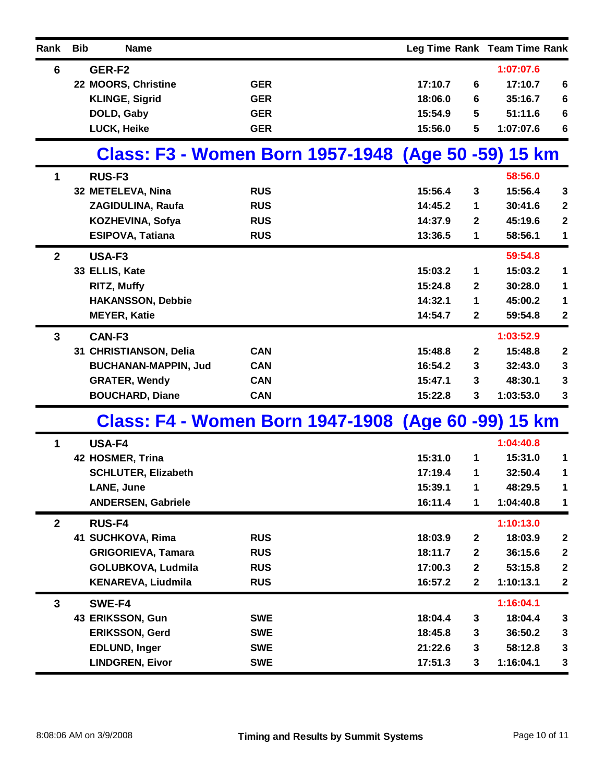| Rank         | <b>Bib</b><br><b>Name</b>                           |            |         |              | Leg Time Rank Team Time Rank |                  |
|--------------|-----------------------------------------------------|------------|---------|--------------|------------------------------|------------------|
| 6            | GER-F2                                              |            |         |              | 1:07:07.6                    |                  |
|              | 22 MOORS, Christine                                 | <b>GER</b> | 17:10.7 | 6            | 17:10.7                      | $6\phantom{1}6$  |
|              | <b>KLINGE, Sigrid</b>                               | <b>GER</b> | 18:06.0 | 6            | 35:16.7                      | $6\phantom{1}6$  |
|              | DOLD, Gaby                                          | <b>GER</b> | 15:54.9 | 5            | 51:11.6                      | $6\phantom{1}6$  |
|              | LUCK, Heike                                         | <b>GER</b> | 15:56.0 | 5            | 1:07:07.6                    | 6                |
|              | Class: F3 - Women Born 1957-1948 (Age 50 -59) 15 km |            |         |              |                              |                  |
| 1            | RUS-F <sub>3</sub>                                  |            |         |              | 58:56.0                      |                  |
|              | 32 METELEVA, Nina                                   | <b>RUS</b> | 15:56.4 | 3            | 15:56.4                      | 3                |
|              | ZAGIDULINA, Raufa                                   | <b>RUS</b> | 14:45.2 | 1            | 30:41.6                      | $\boldsymbol{2}$ |
|              | KOZHEVINA, Sofya                                    | <b>RUS</b> | 14:37.9 | $\mathbf{2}$ | 45:19.6                      | $\mathbf{2}$     |
|              | <b>ESIPOVA, Tatiana</b>                             | <b>RUS</b> | 13:36.5 | 1            | 58:56.1                      | 1                |
| $\mathbf{2}$ | USA-F3                                              |            |         |              | 59:54.8                      |                  |
|              | 33 ELLIS, Kate                                      |            | 15:03.2 | 1            | 15:03.2                      | $\mathbf{1}$     |
|              | <b>RITZ, Muffy</b>                                  |            | 15:24.8 | 2            | 30:28.0                      | $\mathbf 1$      |
|              | <b>HAKANSSON, Debbie</b>                            |            | 14:32.1 | 1            | 45:00.2                      | $\mathbf 1$      |
|              | <b>MEYER, Katie</b>                                 |            | 14:54.7 | $\mathbf{2}$ | 59:54.8                      | $\boldsymbol{2}$ |
| $\mathbf{3}$ | CAN-F3                                              |            |         |              | 1:03:52.9                    |                  |
|              | 31 CHRISTIANSON, Delia                              | <b>CAN</b> | 15:48.8 | $\mathbf{2}$ | 15:48.8                      | $\boldsymbol{2}$ |
|              | <b>BUCHANAN-MAPPIN, Jud</b>                         | <b>CAN</b> | 16:54.2 | 3            | 32:43.0                      | $\mathbf{3}$     |
|              | <b>GRATER, Wendy</b>                                | <b>CAN</b> | 15:47.1 | 3            | 48:30.1                      | 3                |
|              | <b>BOUCHARD, Diane</b>                              | <b>CAN</b> | 15:22.8 | 3            | 1:03:53.0                    | $\mathbf{3}$     |
|              | Class: F4 - Women Born 1947-1908 (Age 60 -99) 15 km |            |         |              |                              |                  |
| 1            | <b>USA-F4</b>                                       |            |         |              | 1:04:40.8                    |                  |
|              | 42 HOSMER, Trina                                    |            | 15:31.0 | 1            | 15:31.0                      | 1                |
|              | <b>SCHLUTER, Elizabeth</b>                          |            | 17:19.4 | 1            | 32:50.4                      | 1                |
|              | LANE, June                                          |            | 15:39.1 | 1            | 48:29.5                      | $\mathbf 1$      |
|              | <b>ANDERSEN, Gabriele</b>                           |            | 16:11.4 | 1            | 1:04:40.8                    | 1                |
| $\mathbf{2}$ | <b>RUS-F4</b>                                       |            |         |              | 1:10:13.0                    |                  |
|              | 41 SUCHKOVA, Rima                                   | <b>RUS</b> | 18:03.9 | $\mathbf 2$  | 18:03.9                      | $\boldsymbol{2}$ |
|              | <b>GRIGORIEVA, Tamara</b>                           | <b>RUS</b> | 18:11.7 | $\mathbf 2$  | 36:15.6                      | $\boldsymbol{2}$ |
|              | GOLUBKOVA, Ludmila                                  | <b>RUS</b> | 17:00.3 | $\mathbf 2$  | 53:15.8                      | $\boldsymbol{2}$ |
|              | <b>KENAREVA, Liudmila</b>                           | <b>RUS</b> | 16:57.2 | $\mathbf{2}$ | 1:10:13.1                    | $\boldsymbol{2}$ |
| 3            | SWE-F4                                              |            |         |              | 1:16:04.1                    |                  |
|              | 43 ERIKSSON, Gun                                    | <b>SWE</b> | 18:04.4 | 3            | 18:04.4                      | 3                |
|              | <b>ERIKSSON, Gerd</b>                               | <b>SWE</b> | 18:45.8 | 3            | 36:50.2                      | $\mathbf{3}$     |
|              | <b>EDLUND, Inger</b>                                | <b>SWE</b> | 21:22.6 | 3            | 58:12.8                      | 3                |
|              | <b>LINDGREN, Eivor</b>                              | <b>SWE</b> | 17:51.3 | 3            | 1:16:04.1                    | $\mathbf{3}$     |